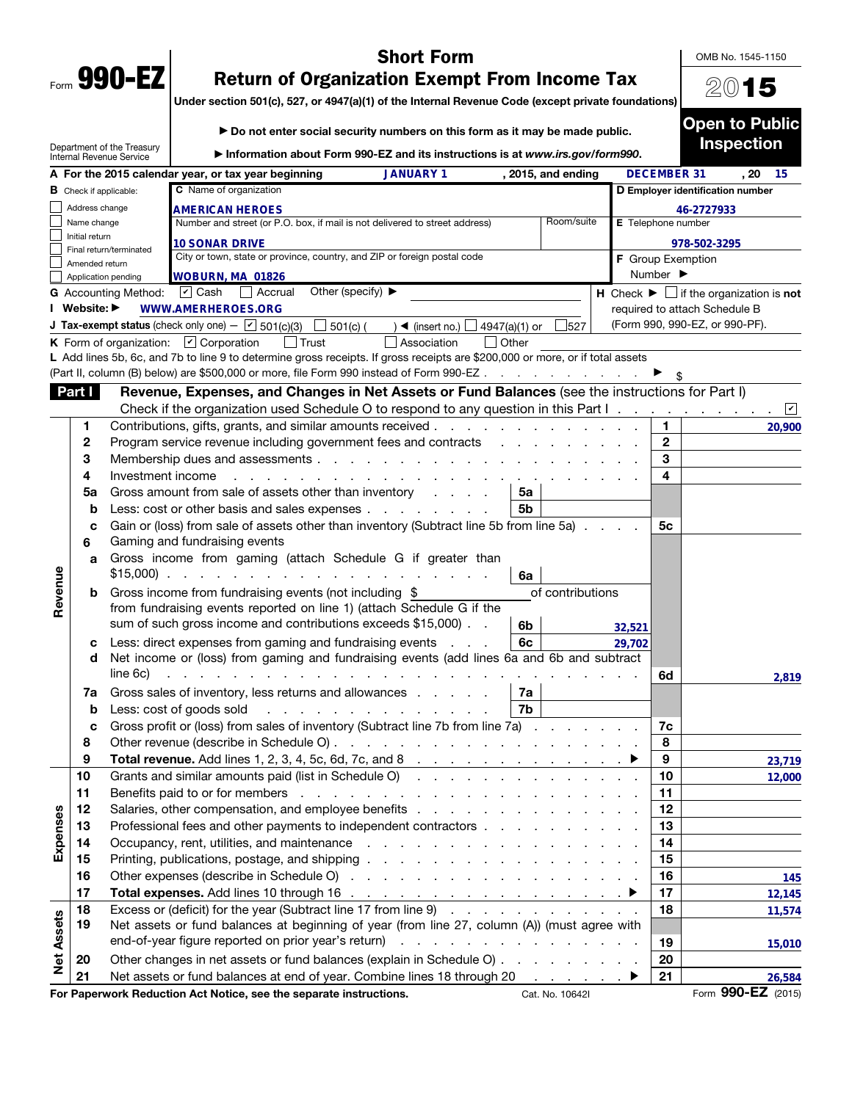| Form | 990- |  |
|------|------|--|

## Short Form

OMB No. 1545-1150

2015

Under section 501(c), 527, or 4947(a)(1) of the Internal Revenue Code (except private foundations)

|                   |                               |                                                        | Do not enter social security numbers on this form as it may be made public.                                                                                                                                                                                      |                              | <b>Open to Public</b>                                                         |
|-------------------|-------------------------------|--------------------------------------------------------|------------------------------------------------------------------------------------------------------------------------------------------------------------------------------------------------------------------------------------------------------------------|------------------------------|-------------------------------------------------------------------------------|
|                   |                               | Department of the Treasury<br>Internal Revenue Service | Information about Form 990-EZ and its instructions is at www.irs.gov/form990.                                                                                                                                                                                    |                              | <b>Inspection</b>                                                             |
|                   |                               |                                                        | <b>JANUARY 1</b><br>A For the 2015 calendar year, or tax year beginning<br>, 2015, and ending                                                                                                                                                                    | <b>DECEMBER 31</b>           | . 20<br>-15                                                                   |
|                   | <b>B</b> Check if applicable: |                                                        | C Name of organization                                                                                                                                                                                                                                           |                              | D Employer identification number                                              |
|                   | Address change                |                                                        | <b>AMERICAN HEROES</b>                                                                                                                                                                                                                                           |                              | 46-2727933                                                                    |
|                   | Name change                   |                                                        | Room/suite<br>Number and street (or P.O. box, if mail is not delivered to street address)                                                                                                                                                                        | E Telephone number           |                                                                               |
|                   | Initial return                | Final return/terminated                                | <b>10 SONAR DRIVE</b>                                                                                                                                                                                                                                            |                              | 978-502-3295                                                                  |
|                   | Amended return                |                                                        | City or town, state or province, country, and ZIP or foreign postal code                                                                                                                                                                                         | F Group Exemption            |                                                                               |
|                   |                               | Application pending                                    | WOBURN, MA 01826                                                                                                                                                                                                                                                 | Number $\blacktriangleright$ |                                                                               |
|                   |                               | <b>G</b> Accounting Method:                            | Other (specify) $\blacktriangleright$<br>$\boxed{\mathbf{v}}$ Cash<br>Accrual                                                                                                                                                                                    |                              | <b>H</b> Check $\blacktriangleright$ $\Box$ if the organization is <b>not</b> |
|                   | I Website: ▶                  |                                                        | <b>WWW.AMERHEROES.ORG</b>                                                                                                                                                                                                                                        |                              | required to attach Schedule B                                                 |
|                   |                               |                                                        | <b>J Tax-exempt status</b> (check only one) - $\boxed{\triangleright}$ 501(c)(3) $\boxed{\square}$ 501(c) (<br>) ◀ (insert no.) $\Box$<br>527<br>4947(a)(1) or                                                                                                   |                              | (Form 990, 990-EZ, or 990-PF).                                                |
|                   |                               |                                                        | Association<br><b>K</b> Form of organization: $\boxed{\mathbf{v}}$ Corporation<br>$ $ Trust<br>$\vert$ Other                                                                                                                                                     |                              |                                                                               |
|                   |                               |                                                        | L Add lines 5b, 6c, and 7b to line 9 to determine gross receipts. If gross receipts are \$200,000 or more, or if total assets<br>(Part II, column (B) below) are \$500,000 or more, file Form 990 instead of Form 990-EZ                                         |                              |                                                                               |
|                   |                               |                                                        |                                                                                                                                                                                                                                                                  |                              |                                                                               |
|                   | Part I                        |                                                        | Revenue, Expenses, and Changes in Net Assets or Fund Balances (see the instructions for Part I)                                                                                                                                                                  |                              |                                                                               |
|                   | $\mathbf{1}$                  |                                                        | Check if the organization used Schedule O to respond to any question in this Part I $\Box$<br>Contributions, gifts, grants, and similar amounts received                                                                                                         | 1.                           |                                                                               |
|                   | 2                             |                                                        |                                                                                                                                                                                                                                                                  | $\mathbf{2}$                 | 20,900                                                                        |
|                   | 3                             |                                                        | Program service revenue including government fees and contracts<br>Membership dues and assessments                                                                                                                                                               | 3                            |                                                                               |
|                   | 4                             | Investment income                                      |                                                                                                                                                                                                                                                                  | 4                            |                                                                               |
|                   | 5a                            |                                                        | Gross amount from sale of assets other than inventory<br>5a                                                                                                                                                                                                      |                              |                                                                               |
|                   | b                             |                                                        | Less: cost or other basis and sales expenses<br>5b                                                                                                                                                                                                               |                              |                                                                               |
|                   | c                             |                                                        | Gain or (loss) from sale of assets other than inventory (Subtract line 5b from line 5a)                                                                                                                                                                          | 5с                           |                                                                               |
|                   | 6                             |                                                        | Gaming and fundraising events                                                                                                                                                                                                                                    |                              |                                                                               |
|                   | a                             |                                                        | Gross income from gaming (attach Schedule G if greater than<br>$$15,000$<br>6a                                                                                                                                                                                   |                              |                                                                               |
| Revenue           | b                             |                                                        | of contributions<br>Gross income from fundraising events (not including \$                                                                                                                                                                                       |                              |                                                                               |
|                   |                               |                                                        | from fundraising events reported on line 1) (attach Schedule G if the                                                                                                                                                                                            |                              |                                                                               |
|                   |                               |                                                        | sum of such gross income and contributions exceeds \$15,000).<br>6b                                                                                                                                                                                              | 32,521                       |                                                                               |
|                   | с                             |                                                        | 6c<br>Less: direct expenses from gaming and fundraising events                                                                                                                                                                                                   | 29,702                       |                                                                               |
|                   | d                             |                                                        | Net income or (loss) from gaming and fundraising events (add lines 6a and 6b and subtract                                                                                                                                                                        |                              |                                                                               |
|                   |                               | line 6c)                                               | and a straight and a straight and                                                                                                                                                                                                                                | 6d                           | 2,819                                                                         |
|                   | 7a                            |                                                        | Gross sales of inventory, less returns and allowances<br>7a                                                                                                                                                                                                      |                              |                                                                               |
|                   | b                             |                                                        | 7b<br>Less: cost of goods sold<br>and the contract of the contract of the contract of the contract of the contract of the contract of the contract of the contract of the contract of the contract of the contract of the contract of the contract of the contra |                              |                                                                               |
|                   |                               |                                                        | Gross profit or (loss) from sales of inventory (Subtract line 7b from line 7a)                                                                                                                                                                                   | 7c                           |                                                                               |
|                   | 8                             |                                                        |                                                                                                                                                                                                                                                                  | 8                            |                                                                               |
|                   | 9                             |                                                        |                                                                                                                                                                                                                                                                  | 9                            | 23,719                                                                        |
|                   | 10                            |                                                        | Grants and similar amounts paid (list in Schedule O)                                                                                                                                                                                                             | 10                           | 12,000                                                                        |
|                   | 11                            |                                                        | Benefits paid to or for members<br>the contract of the contract of the contract of the contract of the contract of                                                                                                                                               | 11                           |                                                                               |
| Expenses          | 12                            |                                                        |                                                                                                                                                                                                                                                                  | 12<br>13                     |                                                                               |
|                   | 13                            |                                                        | Professional fees and other payments to independent contractors                                                                                                                                                                                                  | 14                           |                                                                               |
|                   | 14<br>15                      |                                                        |                                                                                                                                                                                                                                                                  | 15                           |                                                                               |
|                   | 16                            |                                                        |                                                                                                                                                                                                                                                                  | 16                           |                                                                               |
|                   | 17                            |                                                        |                                                                                                                                                                                                                                                                  | 17                           | 145                                                                           |
|                   | 18                            |                                                        | Excess or (deficit) for the year (Subtract line 17 from line 9)                                                                                                                                                                                                  | 18                           | 12,145                                                                        |
|                   | 19                            |                                                        | Net assets or fund balances at beginning of year (from line 27, column (A)) (must agree with                                                                                                                                                                     |                              | 11,574                                                                        |
|                   |                               |                                                        |                                                                                                                                                                                                                                                                  | 19                           | 15,010                                                                        |
| <b>Net Assets</b> | 20                            |                                                        | Other changes in net assets or fund balances (explain in Schedule O)                                                                                                                                                                                             | 20                           |                                                                               |
|                   | 21                            |                                                        | Net assets or fund balances at end of year. Combine lines 18 through 20<br>in a series a ≯                                                                                                                                                                       | 21                           | 26,584                                                                        |
|                   |                               |                                                        |                                                                                                                                                                                                                                                                  |                              |                                                                               |

For Paperwork Reduction Act Notice, see the separate instructions. Cat. No. 10642I Form 990-EZ (2015)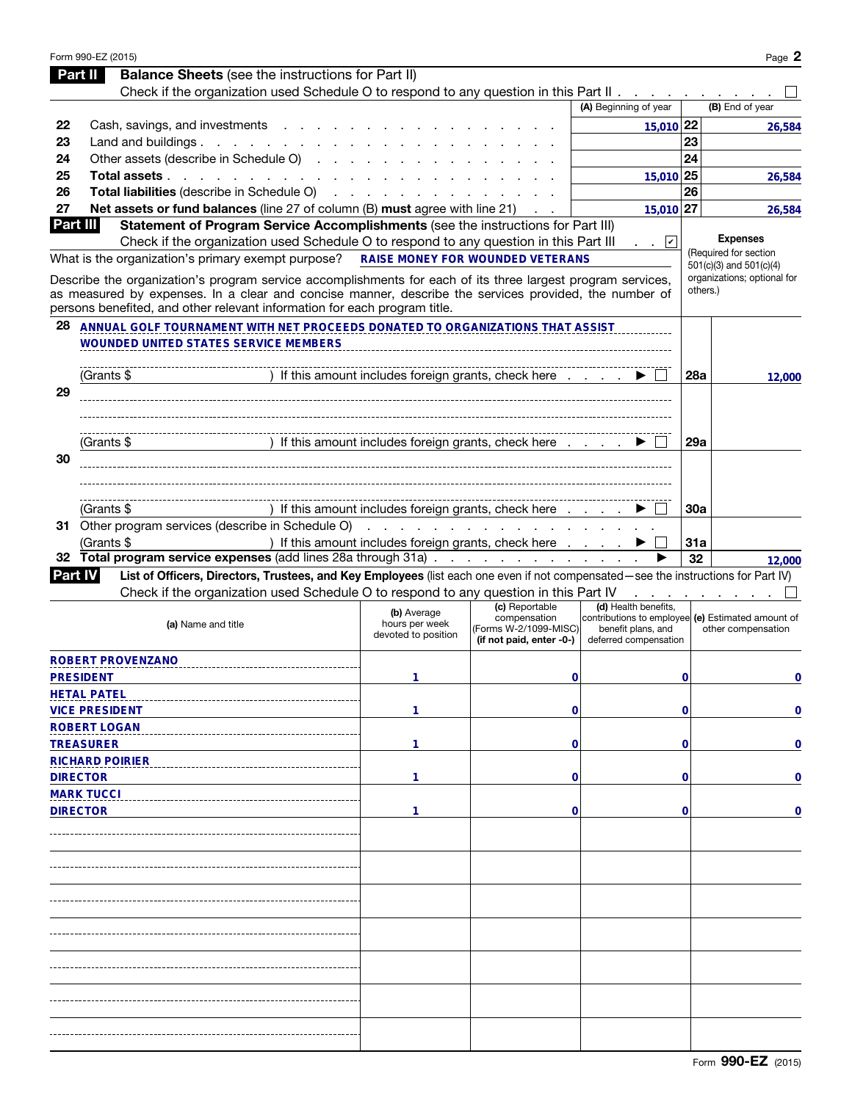|                 | Form 990-EZ (2015)                                                                                                                                  |                                       |                                                      |                                                                           |           | Page 2                                   |
|-----------------|-----------------------------------------------------------------------------------------------------------------------------------------------------|---------------------------------------|------------------------------------------------------|---------------------------------------------------------------------------|-----------|------------------------------------------|
|                 | <b>Balance Sheets</b> (see the instructions for Part II)<br>Part II                                                                                 |                                       |                                                      |                                                                           |           |                                          |
|                 | Check if the organization used Schedule O to respond to any question in this Part II                                                                |                                       |                                                      |                                                                           |           |                                          |
|                 |                                                                                                                                                     |                                       |                                                      | (A) Beginning of year                                                     |           | (B) End of year                          |
| 22              | Cash, savings, and investments                                                                                                                      |                                       |                                                      | 15,010 22                                                                 |           | 26,584                                   |
| 23              | Land and buildings                                                                                                                                  |                                       |                                                      |                                                                           | 23        |                                          |
| 24              | Other assets (describe in Schedule O)                                                                                                               |                                       |                                                      |                                                                           | 24        |                                          |
| 25              | Total assets                                                                                                                                        |                                       |                                                      | 15,010 25                                                                 |           | 26.584                                   |
| 26              | Total liabilities (describe in Schedule O)                                                                                                          |                                       |                                                      |                                                                           | 26        |                                          |
| 27              | Net assets or fund balances (line 27 of column (B) must agree with line 21)                                                                         |                                       |                                                      | 15,010 27                                                                 |           | 26,584                                   |
| <b>Part III</b> | Statement of Program Service Accomplishments (see the instructions for Part III)                                                                    |                                       |                                                      |                                                                           |           |                                          |
|                 | Check if the organization used Schedule O to respond to any question in this Part III                                                               |                                       |                                                      | $\mathbf{v}$                                                              |           | <b>Expenses</b><br>(Required for section |
|                 | What is the organization's primary exempt purpose?                                                                                                  |                                       | <b>RAISE MONEY FOR WOUNDED VETERANS</b>              |                                                                           |           | $501(c)(3)$ and $501(c)(4)$              |
|                 | Describe the organization's program service accomplishments for each of its three largest program services,                                         |                                       |                                                      |                                                                           |           | organizations; optional for              |
|                 | as measured by expenses. In a clear and concise manner, describe the services provided, the number of                                               |                                       |                                                      |                                                                           |           | others.)                                 |
|                 | persons benefited, and other relevant information for each program title.                                                                           |                                       |                                                      |                                                                           |           |                                          |
| 28              | ANNUAL GOLF TOURNAMENT WITH NET PROCEEDS DONATED TO ORGANIZATIONS THAT ASSIST                                                                       |                                       |                                                      |                                                                           |           |                                          |
|                 | <b>WOUNDED UNITED STATES SERVICE MEMBERS</b>                                                                                                        |                                       |                                                      |                                                                           |           |                                          |
|                 |                                                                                                                                                     |                                       |                                                      |                                                                           |           |                                          |
|                 | (Grants \$                                                                                                                                          |                                       | If this amount includes foreign grants, check here   |                                                                           | 28a       | 12,000                                   |
| 29              |                                                                                                                                                     |                                       |                                                      |                                                                           |           |                                          |
|                 |                                                                                                                                                     |                                       |                                                      |                                                                           |           |                                          |
|                 |                                                                                                                                                     |                                       |                                                      |                                                                           |           |                                          |
|                 | (Grants \$                                                                                                                                          |                                       | If this amount includes foreign grants, check here   |                                                                           | 29a       |                                          |
| 30              |                                                                                                                                                     |                                       |                                                      |                                                                           |           |                                          |
|                 |                                                                                                                                                     |                                       |                                                      |                                                                           |           |                                          |
|                 |                                                                                                                                                     |                                       |                                                      |                                                                           |           |                                          |
|                 | (Grants \$                                                                                                                                          |                                       | If this amount includes foreign grants, check here   |                                                                           | 30a       |                                          |
|                 | 31 Other program services (describe in Schedule O)                                                                                                  |                                       | and a series of the contract of the contract of the  |                                                                           |           |                                          |
|                 | (Grants \$<br>Total program service expenses (add lines 28a through 31a)                                                                            |                                       | ) If this amount includes foreign grants, check here |                                                                           | 31a<br>32 |                                          |
| 32              |                                                                                                                                                     |                                       |                                                      |                                                                           |           |                                          |
|                 |                                                                                                                                                     |                                       |                                                      |                                                                           |           | 12,000                                   |
|                 | List of Officers, Directors, Trustees, and Key Employees (list each one even if not compensated-see the instructions for Part IV)<br><b>Part IV</b> |                                       |                                                      |                                                                           |           |                                          |
|                 | Check if the organization used Schedule O to respond to any question in this Part IV                                                                |                                       |                                                      |                                                                           |           |                                          |
|                 |                                                                                                                                                     | (b) Average                           | (c) Reportable<br>compensation                       | (d) Health benefits,<br>contributions to employee (e) Estimated amount of |           |                                          |
|                 | (a) Name and title                                                                                                                                  | hours per week<br>devoted to position | (Forms W-2/1099-MISC)                                | benefit plans, and                                                        |           | other compensation                       |
|                 |                                                                                                                                                     |                                       | (if not paid, enter -0-)                             | deferred compensation                                                     |           |                                          |
|                 | ROBERT PROVENZANO                                                                                                                                   |                                       |                                                      |                                                                           |           |                                          |
|                 | <b>PRESIDENT</b>                                                                                                                                    | 1                                     | 0                                                    |                                                                           | 0         | 0                                        |
|                 | <b>HETAL PATEL</b>                                                                                                                                  |                                       |                                                      |                                                                           |           |                                          |
|                 | <b>VICE PRESIDENT</b>                                                                                                                               | 1                                     | 0                                                    |                                                                           | 0         | 0                                        |
|                 | <b>ROBERT LOGAN</b>                                                                                                                                 |                                       |                                                      |                                                                           |           |                                          |
|                 | <b>TREASURER</b>                                                                                                                                    | 1                                     | 0                                                    |                                                                           | 0         | 0                                        |
|                 | <b>RICHARD POIRIER</b>                                                                                                                              |                                       |                                                      |                                                                           |           |                                          |
|                 | <b>DIRECTOR</b>                                                                                                                                     | 1                                     | 0                                                    |                                                                           | 0         | 0                                        |
|                 | <b>MARK TUCCI</b>                                                                                                                                   |                                       |                                                      |                                                                           |           |                                          |
|                 | <b>DIRECTOR</b>                                                                                                                                     | 1                                     | 0                                                    |                                                                           | 0         | 0                                        |
|                 |                                                                                                                                                     |                                       |                                                      |                                                                           |           |                                          |
|                 |                                                                                                                                                     |                                       |                                                      |                                                                           |           |                                          |
|                 |                                                                                                                                                     |                                       |                                                      |                                                                           |           |                                          |
|                 |                                                                                                                                                     |                                       |                                                      |                                                                           |           |                                          |
|                 |                                                                                                                                                     |                                       |                                                      |                                                                           |           |                                          |
|                 |                                                                                                                                                     |                                       |                                                      |                                                                           |           |                                          |
|                 |                                                                                                                                                     |                                       |                                                      |                                                                           |           |                                          |
|                 |                                                                                                                                                     |                                       |                                                      |                                                                           |           |                                          |
|                 |                                                                                                                                                     |                                       |                                                      |                                                                           |           |                                          |
|                 |                                                                                                                                                     |                                       |                                                      |                                                                           |           |                                          |
|                 |                                                                                                                                                     |                                       |                                                      |                                                                           |           |                                          |
|                 |                                                                                                                                                     |                                       |                                                      |                                                                           |           |                                          |
|                 |                                                                                                                                                     |                                       |                                                      |                                                                           |           |                                          |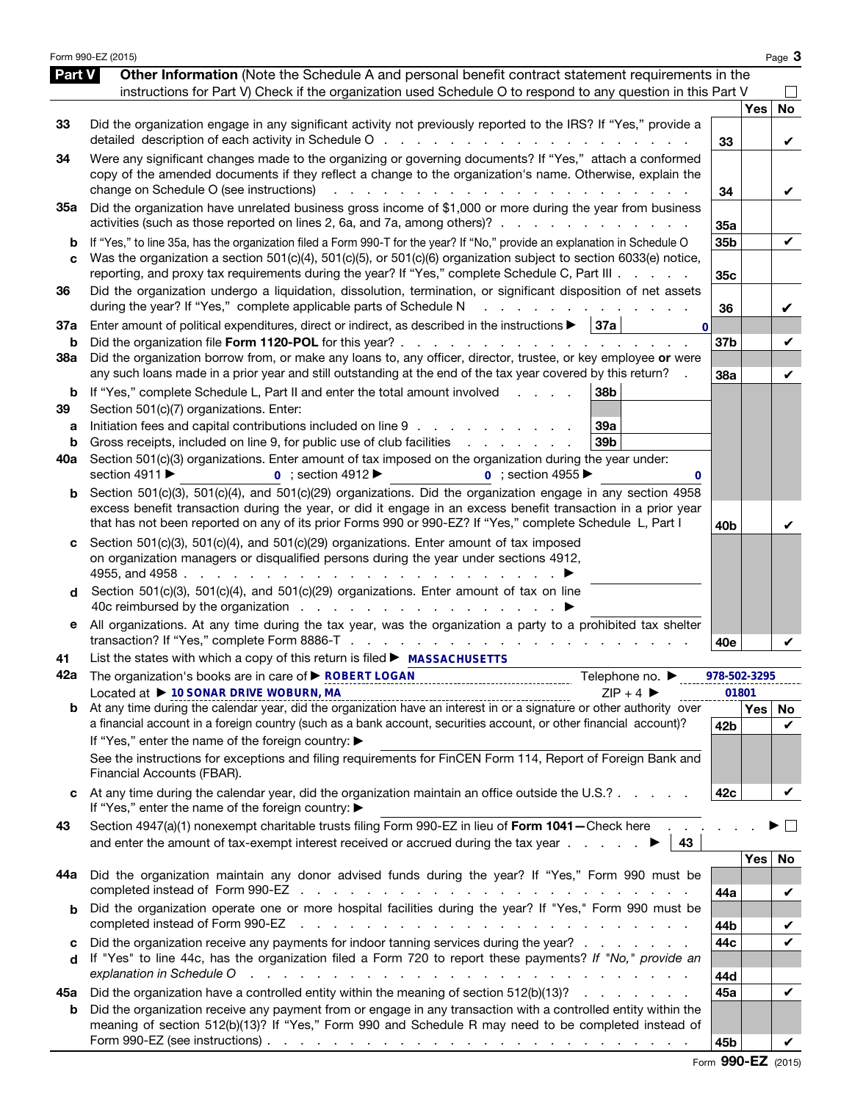|                          | Form 990-EZ (2015)                                                                                                                                                                                                                                                                                                                                                                                                                                                                                                                     |                        |            | Page 3         |
|--------------------------|----------------------------------------------------------------------------------------------------------------------------------------------------------------------------------------------------------------------------------------------------------------------------------------------------------------------------------------------------------------------------------------------------------------------------------------------------------------------------------------------------------------------------------------|------------------------|------------|----------------|
| Part V                   | Other Information (Note the Schedule A and personal benefit contract statement requirements in the<br>instructions for Part V) Check if the organization used Schedule O to respond to any question in this Part V                                                                                                                                                                                                                                                                                                                     |                        |            |                |
| 33                       | Did the organization engage in any significant activity not previously reported to the IRS? If "Yes," provide a<br>detailed description of each activity in Schedule O                                                                                                                                                                                                                                                                                                                                                                 | 33                     | <b>Yes</b> | <b>No</b><br>V |
| 34                       | Were any significant changes made to the organizing or governing documents? If "Yes," attach a conformed<br>copy of the amended documents if they reflect a change to the organization's name. Otherwise, explain the<br>change on Schedule O (see instructions)<br>and a state of the state of                                                                                                                                                                                                                                        | 34                     |            | V              |
| 35a                      | Did the organization have unrelated business gross income of \$1,000 or more during the year from business<br>activities (such as those reported on lines 2, 6a, and 7a, among others)?                                                                                                                                                                                                                                                                                                                                                | 35a                    |            |                |
| b<br>C                   | If "Yes," to line 35a, has the organization filed a Form 990-T for the year? If "No," provide an explanation in Schedule O<br>Was the organization a section 501(c)(4), 501(c)(5), or 501(c)(6) organization subject to section 6033(e) notice,<br>reporting, and proxy tax requirements during the year? If "Yes," complete Schedule C, Part III                                                                                                                                                                                      | 35b<br>35 <sub>c</sub> |            | V              |
| 36                       | Did the organization undergo a liquidation, dissolution, termination, or significant disposition of net assets<br>during the year? If "Yes," complete applicable parts of Schedule N                                                                                                                                                                                                                                                                                                                                                   | 36                     |            | V              |
| 37a<br>b                 | Enter amount of political expenditures, direct or indirect, as described in the instructions $\blacktriangleright$   37a<br>$\mathbf{0}$<br>Did the organization file Form 1120-POL for this year?                                                                                                                                                                                                                                                                                                                                     | 37b                    |            | V              |
| 38a                      | Did the organization borrow from, or make any loans to, any officer, director, trustee, or key employee or were<br>any such loans made in a prior year and still outstanding at the end of the tax year covered by this return?                                                                                                                                                                                                                                                                                                        | 38a                    |            | V              |
| b<br>39<br>а<br>b<br>40a | If "Yes," complete Schedule L, Part II and enter the total amount involved<br>38 <sub>b</sub><br>Section 501(c)(7) organizations. Enter:<br>Initiation fees and capital contributions included on line 9<br>39a<br>Gross receipts, included on line 9, for public use of club facilities<br>39b<br>the contract of the contract of<br>Section 501(c)(3) organizations. Enter amount of tax imposed on the organization during the year under:<br>section 4911 ▶<br>$\overline{0}$ ; section 4912<br>$\overline{0}$ : section 4955<br>0 |                        |            |                |
| b                        | Section 501(c)(3), 501(c)(4), and 501(c)(29) organizations. Did the organization engage in any section 4958<br>excess benefit transaction during the year, or did it engage in an excess benefit transaction in a prior year<br>that has not been reported on any of its prior Forms 990 or 990-EZ? If "Yes," complete Schedule L, Part I                                                                                                                                                                                              | 40b                    |            | V              |
| C<br>d                   | Section 501(c)(3), 501(c)(4), and 501(c)(29) organizations. Enter amount of tax imposed<br>on organization managers or disqualified persons during the year under sections 4912,<br>4955, and 4958.<br>the contract of the contract of the con-<br>Section 501(c)(3), 501(c)(4), and 501(c)(29) organizations. Enter amount of tax on line                                                                                                                                                                                             |                        |            |                |
| е                        | All organizations. At any time during the tax year, was the organization a party to a prohibited tax shelter                                                                                                                                                                                                                                                                                                                                                                                                                           | 40e                    |            |                |
| 41<br>42a                | List the states with which a copy of this return is filed ► MASSACHUSETTS<br>The organization's books are in care of ▶ ROBERT LOGAN<br>Telephone no. ▶                                                                                                                                                                                                                                                                                                                                                                                 | 978-502-3295           | 01801      |                |
|                          | Located at $\triangleright$ 10 SONAR DRIVE WOBURN, MA<br>$ZIP + 4$<br>Located at $\blacktriangleright$ 10 SUP + 4 S<br>b At any time during the calendar year, did the organization have an interest in or a signature or other authority over                                                                                                                                                                                                                                                                                         |                        |            | Yes   No       |
|                          | a financial account in a foreign country (such as a bank account, securities account, or other financial account)?<br>If "Yes," enter the name of the foreign country: ▶<br>See the instructions for exceptions and filing requirements for FinCEN Form 114, Report of Foreign Bank and<br>Financial Accounts (FBAR).                                                                                                                                                                                                                  | 42b                    |            | V              |
|                          | At any time during the calendar year, did the organization maintain an office outside the U.S.?<br>If "Yes," enter the name of the foreign country: ▶                                                                                                                                                                                                                                                                                                                                                                                  | 42c                    |            | V              |
| 43                       | Section 4947(a)(1) nonexempt charitable trusts filing Form 990-EZ in lieu of Form 1041-Check here<br>and enter the amount of tax-exempt interest received or accrued during the tax year $\ldots$ .<br>43                                                                                                                                                                                                                                                                                                                              |                        |            | $\sim$         |
| 44a                      | Did the organization maintain any donor advised funds during the year? If "Yes," Form 990 must be                                                                                                                                                                                                                                                                                                                                                                                                                                      |                        | Yes        | No             |
| b                        | Did the organization operate one or more hospital facilities during the year? If "Yes," Form 990 must be<br>completed instead of Form 990-EZ                                                                                                                                                                                                                                                                                                                                                                                           | 44a<br>44b             |            | V<br>V         |
| c<br>d                   | Did the organization receive any payments for indoor tanning services during the year?<br>If "Yes" to line 44c, has the organization filed a Form 720 to report these payments? If "No," provide an<br>explanation in Schedule O<br>والمتعاون والمتعاون والمتعاون والمتعاون والمتعاونة والمتعاونة والمتعاونة والمتعاونة والمتعاونة                                                                                                                                                                                                     | 44c<br>44d             |            | V              |
| 45а                      | Did the organization have a controlled entity within the meaning of section 512(b)(13)?                                                                                                                                                                                                                                                                                                                                                                                                                                                | 45a                    |            | V              |
| b                        | Did the organization receive any payment from or engage in any transaction with a controlled entity within the<br>meaning of section 512(b)(13)? If "Yes," Form 990 and Schedule R may need to be completed instead of<br>Form 990-EZ (see instructions) $\ldots$ $\ldots$ $\ldots$ $\ldots$ $\ldots$ $\ldots$ $\ldots$ $\ldots$ $\ldots$ $\ldots$ $\ldots$                                                                                                                                                                            | 45b                    |            |                |

Form 990-EZ (2015)